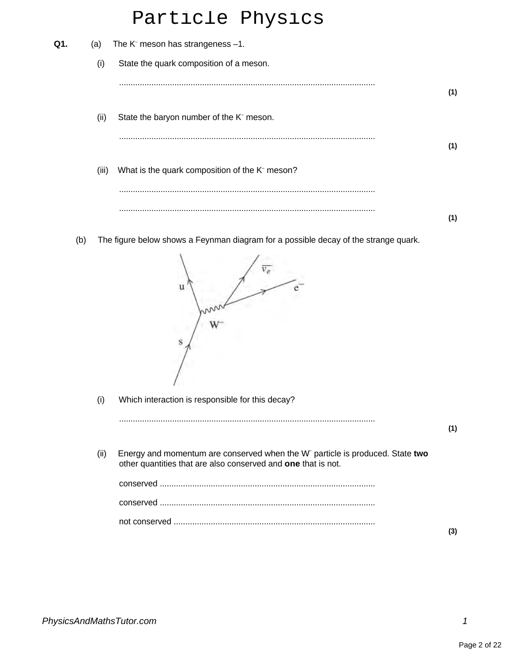## Particle Physics

| Q1. | (a)   | The $K^-$ meson has strangeness $-1$ .                                              |     |
|-----|-------|-------------------------------------------------------------------------------------|-----|
|     | (i)   | State the quark composition of a meson.                                             |     |
|     |       |                                                                                     | (1) |
|     | (ii)  | State the baryon number of the K <sup>-</sup> meson.                                |     |
|     |       |                                                                                     | (1) |
|     | (iii) | What is the quark composition of the K <sup>-</sup> meson?                          |     |
|     |       |                                                                                     |     |
|     |       |                                                                                     | (1) |
|     | (b)   | The figure below shows a Feynman diagram for a possible decay of the strange quark. |     |
|     |       | u                                                                                   |     |
|     |       | S                                                                                   |     |
|     | (i)   | Which interaction is responsible for this decay?                                    |     |

| (II) | Energy and momentum are conserved when the W <sup>-</sup> particle is produced. State two<br>other quantities that are also conserved and one that is not. |  |
|------|------------------------------------------------------------------------------------------------------------------------------------------------------------|--|
|      |                                                                                                                                                            |  |
|      |                                                                                                                                                            |  |
|      |                                                                                                                                                            |  |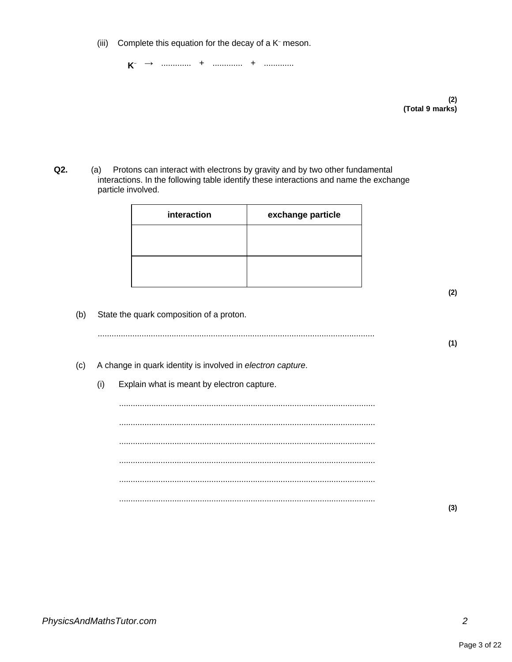(iii) Complete this equation for the decay of a  $K<sup>-</sup>$  meson.

**K** – → ............. + ............. + .............

> **(2) (Total 9 marks)**

**Q2.** (a) Protons can interact with electrons by gravity and by two other fundamental interactions. In the following table identify these interactions and name the exchange particle involved.

| interaction | exchange particle |
|-------------|-------------------|
|             |                   |
|             |                   |
|             |                   |

(b) State the quark composition of a proton.

(c) A change in quark identity is involved in electron capture.

(i) Explain what is meant by electron capture.

............................................................................................................... ............................................................................................................... ............................................................................................................... ............................................................................................................... ............................................................................................................... ...............................................................................................................

**(3)**

**(2)**

**(1)**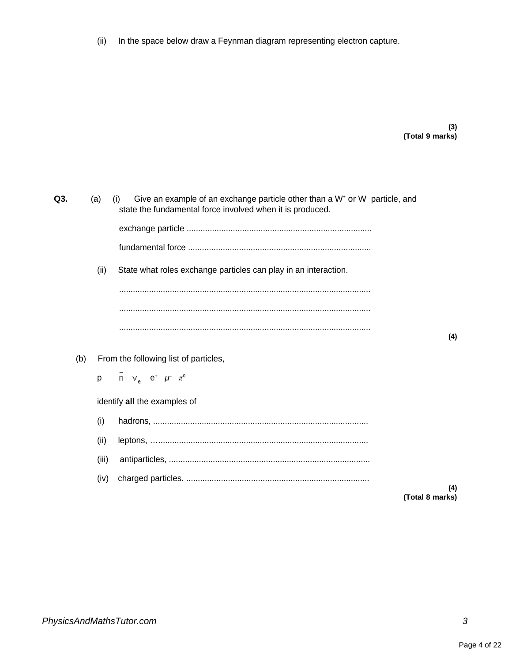(ii) In the space below draw a Feynman diagram representing electron capture.

**(3) (Total 9 marks)**

| Q3. | (a) |       | Give an example of an exchange particle other than a $W^*$ or $W^-$ particle, and<br>(i)<br>state the fundamental force involved when it is produced. |                 |
|-----|-----|-------|-------------------------------------------------------------------------------------------------------------------------------------------------------|-----------------|
|     |     |       |                                                                                                                                                       |                 |
|     |     |       |                                                                                                                                                       |                 |
|     |     | (ii)  | State what roles exchange particles can play in an interaction.                                                                                       |                 |
|     |     |       |                                                                                                                                                       |                 |
|     |     |       |                                                                                                                                                       | (4)             |
|     | (b) |       | From the following list of particles,                                                                                                                 |                 |
|     | p   |       | $\overline{n}$ $\vee$ $e^+$ $\mu^ \pi^0$                                                                                                              |                 |
|     |     |       | identify all the examples of                                                                                                                          |                 |
|     |     | (i)   |                                                                                                                                                       |                 |
|     |     | (ii)  |                                                                                                                                                       |                 |
|     |     | (iii) |                                                                                                                                                       |                 |
|     |     | (iv)  |                                                                                                                                                       | (4)             |
|     |     |       |                                                                                                                                                       | (Total 8 marks) |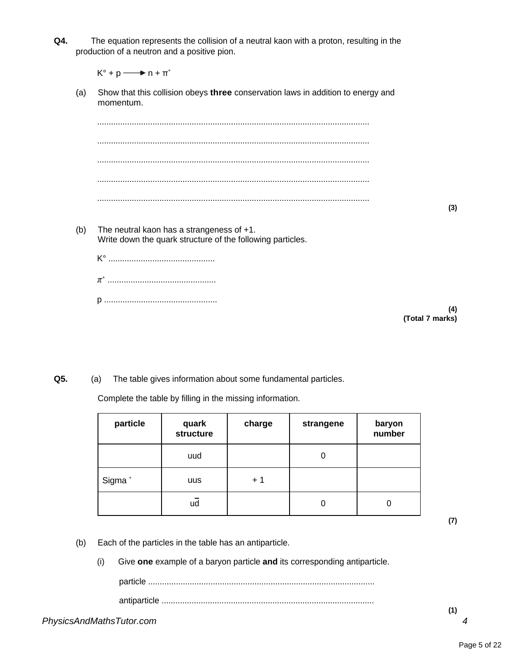**Q4.** The equation represents the collision of a neutral kaon with a proton, resulting in the production of a neutron and a positive pion.

 $K^{\circ} + p \longrightarrow n + \pi^{+}$ 

(a) Show that this collision obeys **three** conservation laws in addition to energy and momentum.

...................................................................................................................... ...................................................................................................................... ...................................................................................................................... ...................................................................................................................... ......................................................................................................................

**(3)**

- (b) The neutral kaon has a strangeness of +1. Write down the quark structure of the following particles. K° .............................................. *π* + ...............................................
	- p .................................................

**(4) (Total 7 marks)**

**Q5.** (a) The table gives information about some fundamental particles.

Complete the table by filling in the missing information.

| particle           | quark<br>structure | charge | strangene | baryon<br>number |
|--------------------|--------------------|--------|-----------|------------------|
|                    | uud                |        |           |                  |
| Sigma <sup>+</sup> | uus                | $+1$   |           |                  |
|                    | ud                 |        |           | 0                |

**(7)**

- (b) Each of the particles in the table has an antiparticle.
	- (i) Give **one** example of a baryon particle **and** its corresponding antiparticle.

particle .................................................................................................. antiparticle ............................................................................................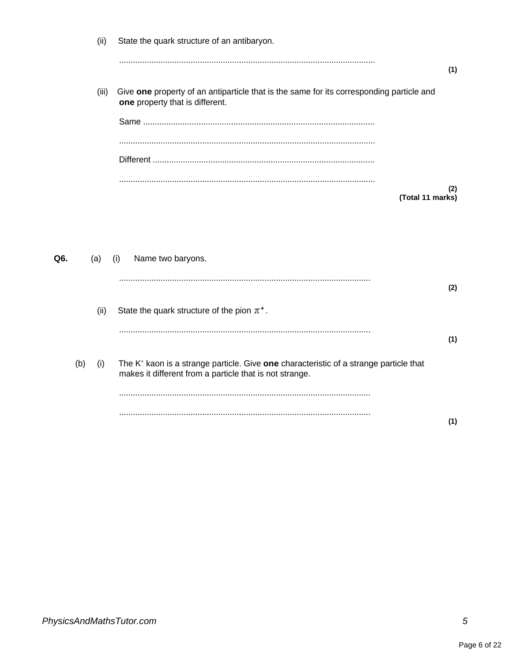|     |     | (ii)  | State the quark structure of an antibaryon.                                                                                                                  |     |
|-----|-----|-------|--------------------------------------------------------------------------------------------------------------------------------------------------------------|-----|
|     |     |       |                                                                                                                                                              | (1) |
|     |     | (iii) | Give one property of an antiparticle that is the same for its corresponding particle and<br>one property that is different.                                  |     |
|     |     |       |                                                                                                                                                              |     |
|     |     |       |                                                                                                                                                              |     |
|     |     |       |                                                                                                                                                              | (2) |
|     |     |       | (Total 11 marks)                                                                                                                                             |     |
|     |     |       |                                                                                                                                                              |     |
| Q6. |     | (a)   | Name two baryons.<br>(i)                                                                                                                                     |     |
|     |     |       |                                                                                                                                                              | (2) |
|     |     | (ii)  | State the quark structure of the pion $\pi^+$ .                                                                                                              |     |
|     |     |       |                                                                                                                                                              | (1) |
|     | (b) | (i)   | The K <sup>+</sup> kaon is a strange particle. Give one characteristic of a strange particle that<br>makes it different from a particle that is not strange. |     |
|     |     |       |                                                                                                                                                              |     |
|     |     |       |                                                                                                                                                              | (1) |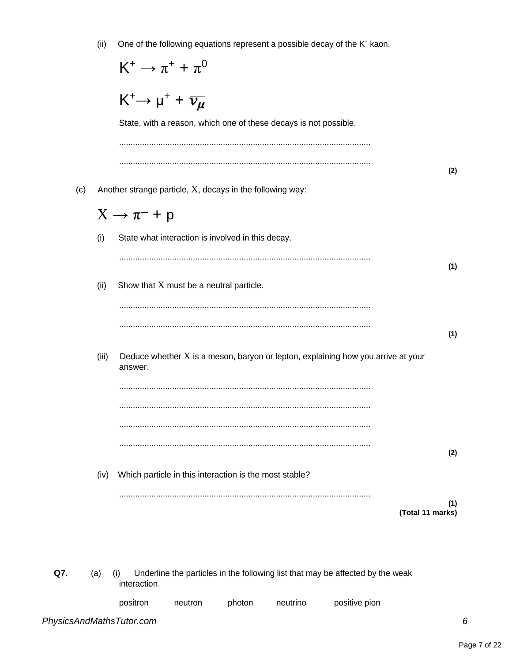|     | (ii)  | One of the following equations represent a possible decay of the K <sup>+</sup> kaon.                 |
|-----|-------|-------------------------------------------------------------------------------------------------------|
|     |       | $K^+ \to \pi^+ + \pi^0$                                                                               |
|     |       | $K^+ \rightarrow \mu^+ + \overline{\nu_\mu}$                                                          |
|     |       | State, with a reason, which one of these decays is not possible.                                      |
|     |       |                                                                                                       |
| (c) |       | (2)<br>Another strange particle, $X$ , decays in the following way:                                   |
|     |       | $X \rightarrow \pi^- + p$                                                                             |
|     | (i)   | State what interaction is involved in this decay.                                                     |
|     |       |                                                                                                       |
|     | (ii)  | (1)<br>Show that X must be a neutral particle.                                                        |
|     |       |                                                                                                       |
|     |       | (1)                                                                                                   |
|     | (iii) | Deduce whether $X$ is a meson, baryon or lepton, explaining how you arrive at your                    |
|     |       | answer.                                                                                               |
|     |       |                                                                                                       |
|     |       |                                                                                                       |
|     |       | (2)                                                                                                   |
|     | (iv)  | Which particle in this interaction is the most stable?                                                |
|     |       | (1)<br>(Total 11 marks)                                                                               |
|     |       |                                                                                                       |
|     |       |                                                                                                       |
| Q7. | (a)   | Underline the particles in the following list that may be affected by the weak<br>(i)<br>interaction. |
|     |       | positron<br>positive pion<br>photon<br>neutrino<br>neutron                                            |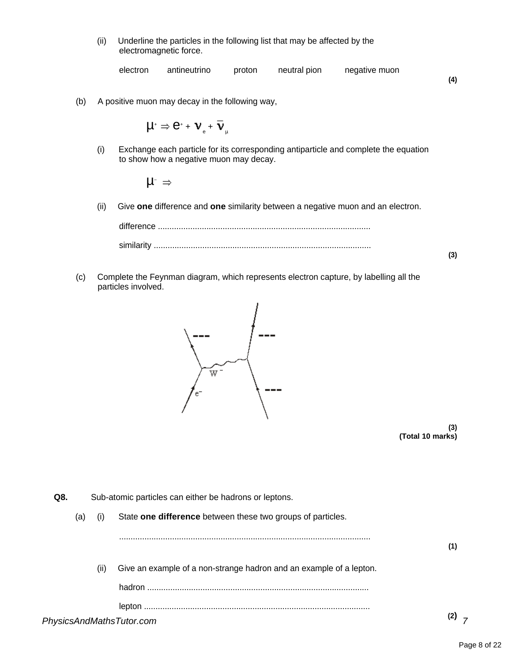(ii) Underline the particles in the following list that may be affected by the electromagnetic force.

| electron | antineutrino | proton | neutral pion | negative muon |     |
|----------|--------------|--------|--------------|---------------|-----|
|          |              |        |              |               | (4) |

(b) A positive muon may decay in the following way,

 $\mu^* \Rightarrow e^* + \nu_{\rm e}^+ \overline{\nu}_{\rm p}$ 

(i) Exchange each particle for its corresponding antiparticle and complete the equation to show how a negative muon may decay.

 $\mathsf{\mu}^\perp$ 

(ii) Give **one** difference and **one** similarity between a negative muon and an electron.

difference ............................................................................................ similarity .............................................................................................. **(3)**

(c) Complete the Feynman diagram, which represents electron capture, by labelling all the particles involved.



**(3) (Total 10 marks)**

**Q8.** Sub-atomic particles can either be hadrons or leptons.

(a) (i) State **one difference** between these two groups of particles.

| (ii) | Give an example of a non-strange hadron and an example of a lepton. |     |
|------|---------------------------------------------------------------------|-----|
|      |                                                                     |     |
|      |                                                                     | ۱ŋ۱ |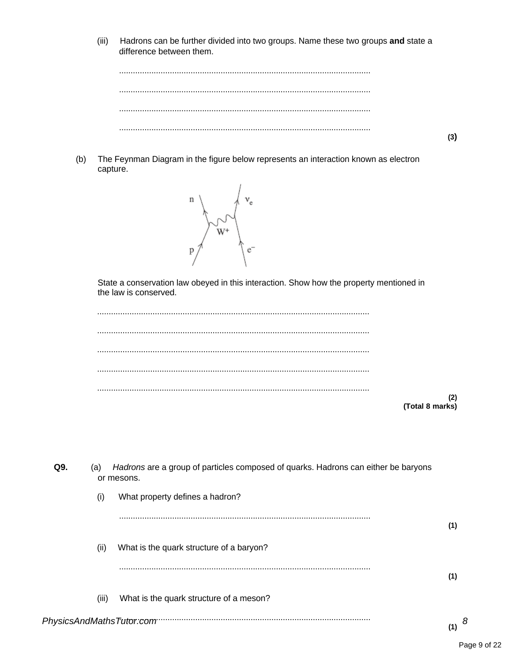$(iii)$ Hadrons can be further divided into two groups. Name these two groups and state a difference between them.

The Feynman Diagram in the figure below represents an interaction known as electron  $(b)$ capture.



State a conservation law obeyed in this interaction. Show how the property mentioned in the law is conserved.

|  | (2)             |
|--|-----------------|
|  | (Total 8 marks) |

| Q9. | Hadrons are a group of particles composed of quarks. Hadrons can either be baryons<br>(a)<br>or mesons. |                                          |     |   |  |
|-----|---------------------------------------------------------------------------------------------------------|------------------------------------------|-----|---|--|
|     | (i)                                                                                                     | What property defines a hadron?          |     |   |  |
|     |                                                                                                         |                                          | (1) |   |  |
|     | (ii)                                                                                                    | What is the quark structure of a baryon? |     |   |  |
|     |                                                                                                         |                                          | (1) |   |  |
|     | (iii)                                                                                                   | What is the quark structure of a meson?  |     |   |  |
|     |                                                                                                         | PhysicsAndMathsTutor:com                 | (1) | 8 |  |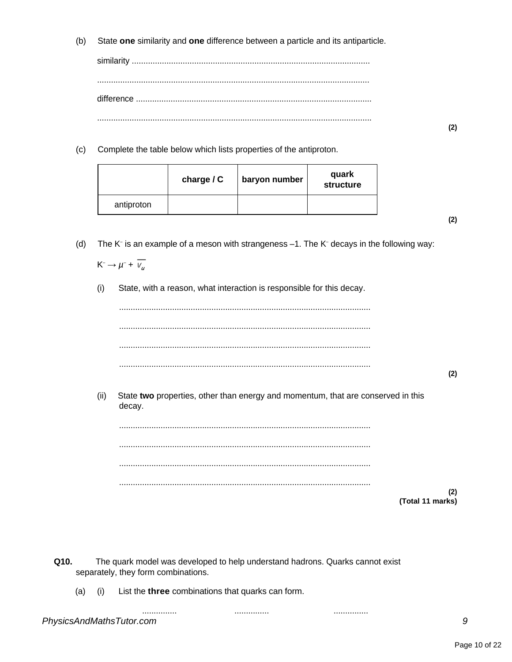State one similarity and one difference between a particle and its antiparticle.  $(b)$ 

Complete the table below which lists properties of the antiproton.  $(c)$ 

|            | charge $/ C$ | baryon number | quark<br>structure |
|------------|--------------|---------------|--------------------|
| antiproton |              |               |                    |

 $(2)$ 

 $(2)$ 

The K<sup>-</sup> is an example of a meson with strangeness  $-1$ . The K<sup>-</sup> decays in the following way:  $(d)$ 

 $K^- \rightarrow \mu^- + \overline{V_\mu}$ 

 $(i)$ State, with a reason, what interaction is responsible for this decay.

 $(2)$ State two properties, other than energy and momentum, that are conserved in this  $(ii)$ decay.  $(2)$ (Total 11 marks)

Q10. The quark model was developed to help understand hadrons. Quarks cannot exist separately, they form combinations.

. . . . . . . . . . . . . . .

. . . . . . . . . . . . . . .

List the three combinations that quarks can form.  $(a)$  $(i)$ 

. . . . . . . . . . . . . . .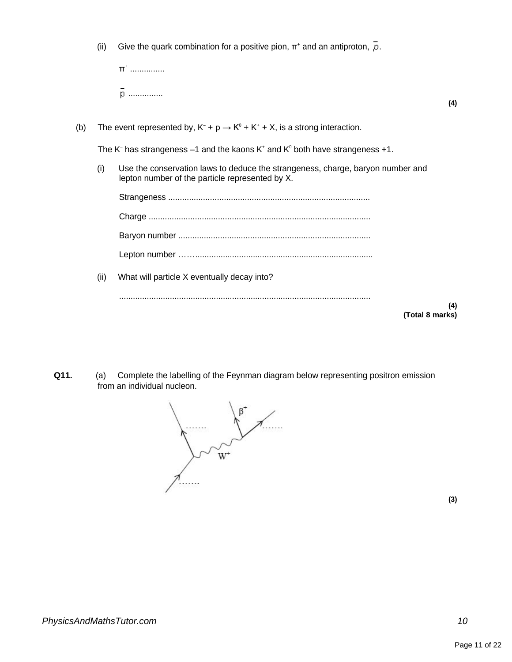(ii) Give the quark combination for a positive pion,  $\pi^*$  and an antiproton,  $p$ .

| $\pi^*$ |  |  |     |
|---------|--|--|-----|
| n.<br>p |  |  | (4) |

(b) The event represented by,  $K^- + p \rightarrow K^0 + K^+ + X$ , is a strong interaction.

The K<sup>-</sup> has strangeness  $-1$  and the kaons K<sup>+</sup> and K<sup>0</sup> both have strangeness +1.

(i) Use the conservation laws to deduce the strangeness, charge, baryon number and lepton number of the particle represented by X.

| (ii) | What will particle X eventually decay into? |                 |
|------|---------------------------------------------|-----------------|
|      |                                             | (4)             |
|      |                                             | (Total 8 marks) |

**Q11.** (a) Complete the labelling of the Feynman diagram below representing positron emission from an individual nucleon.

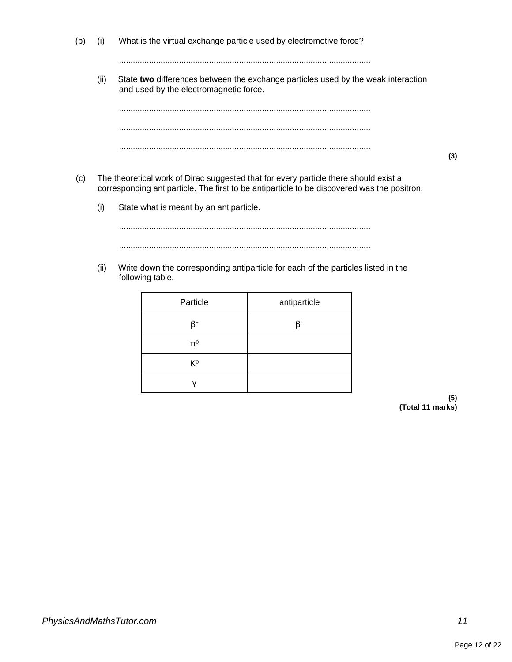(b) (i) What is the virtual exchange particle used by electromotive force?

.............................................................................................................

(ii) State **two** differences between the exchange particles used by the weak interaction and used by the electromagnetic force.

............................................................................................................. ............................................................................................................. .............................................................................................................

- (c) The theoretical work of Dirac suggested that for every particle there should exist a corresponding antiparticle. The first to be antiparticle to be discovered was the positron.
	- (i) State what is meant by an antiparticle.

............................................................................................................. .............................................................................................................

(ii) Write down the corresponding antiparticle for each of the particles listed in the following table.

| Particle       | antiparticle |
|----------------|--------------|
| R-             | $\beta^*$    |
| π°             |              |
| K <sup>o</sup> |              |
|                |              |

**(5) (Total 11 marks)**